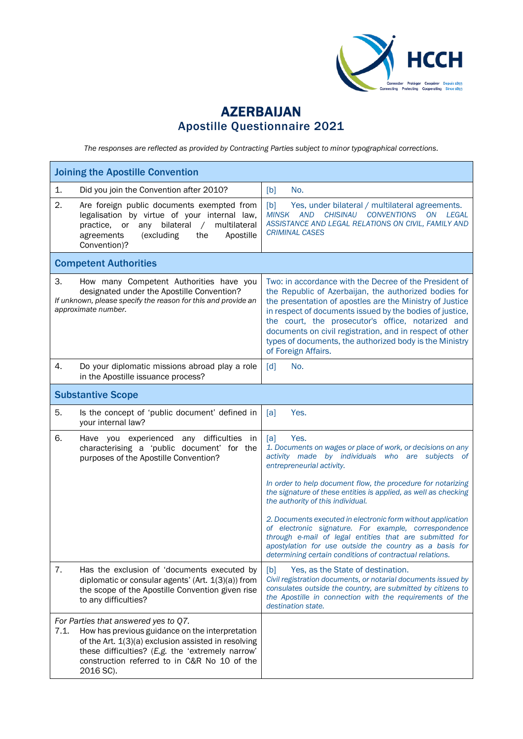

## AZERBAIJAN Apostille Questionnaire 2021

*The responses are reflected as provided by Contracting Parties subject to minor typographical corrections.*

| <b>Joining the Apostille Convention</b> |                                                                                                                                                                                                                                                                 |                                                                                                                                                                                                                                                                                                                                                                                                                                            |  |
|-----------------------------------------|-----------------------------------------------------------------------------------------------------------------------------------------------------------------------------------------------------------------------------------------------------------------|--------------------------------------------------------------------------------------------------------------------------------------------------------------------------------------------------------------------------------------------------------------------------------------------------------------------------------------------------------------------------------------------------------------------------------------------|--|
| 1.                                      | Did you join the Convention after 2010?                                                                                                                                                                                                                         | No.<br>[b]                                                                                                                                                                                                                                                                                                                                                                                                                                 |  |
| 2.                                      | Are foreign public documents exempted from<br>legalisation by virtue of your internal law,<br>bilateral<br>multilateral<br>practice.<br>or<br>any<br>$\sqrt{2}$<br>(excluding<br>Apostille<br>agreements<br>the<br>Convention)?                                 | [b]<br>Yes, under bilateral / multilateral agreements.<br><b>CONVENTIONS</b><br><b>MINSK AND</b><br><b>CHISINAU</b><br><b>ON</b><br>LEGAL<br>ASSISTANCE AND LEGAL RELATIONS ON CIVIL, FAMILY AND<br><b>CRIMINAL CASES</b>                                                                                                                                                                                                                  |  |
|                                         | <b>Competent Authorities</b>                                                                                                                                                                                                                                    |                                                                                                                                                                                                                                                                                                                                                                                                                                            |  |
| З.                                      | How many Competent Authorities have you<br>designated under the Apostille Convention?<br>If unknown, please specify the reason for this and provide an<br>approximate number.                                                                                   | Two: in accordance with the Decree of the President of<br>the Republic of Azerbaijan, the authorized bodies for<br>the presentation of apostles are the Ministry of Justice<br>in respect of documents issued by the bodies of justice,<br>the court, the prosecutor's office, notarized and<br>documents on civil registration, and in respect of other<br>types of documents, the authorized body is the Ministry<br>of Foreign Affairs. |  |
| 4.                                      | Do your diplomatic missions abroad play a role<br>in the Apostille issuance process?                                                                                                                                                                            | [d]<br>No.                                                                                                                                                                                                                                                                                                                                                                                                                                 |  |
|                                         | <b>Substantive Scope</b>                                                                                                                                                                                                                                        |                                                                                                                                                                                                                                                                                                                                                                                                                                            |  |
| 5.                                      | Is the concept of 'public document' defined in<br>your internal law?                                                                                                                                                                                            | Yes.<br>[a]                                                                                                                                                                                                                                                                                                                                                                                                                                |  |
| 6.                                      | Have you experienced any difficulties<br>in<br>characterising a 'public document' for the<br>purposes of the Apostille Convention?                                                                                                                              | Yes.<br>[a]<br>1. Documents on wages or place of work, or decisions on any<br>activity made by individuals who are subjects of<br>entrepreneurial activity.<br>In order to help document flow, the procedure for notarizing<br>the signature of these entities is applied, as well as checking<br>the authority of this individual.                                                                                                        |  |
|                                         |                                                                                                                                                                                                                                                                 | 2. Documents executed in electronic form without application<br>of electronic signature. For example, correspondence<br>through e-mail of legal entities that are submitted for<br>apostylation for use outside the country as a basis for<br>determining certain conditions of contractual relations.                                                                                                                                     |  |
| 7.                                      | Has the exclusion of 'documents executed by<br>diplomatic or consular agents' (Art. 1(3)(a)) from<br>the scope of the Apostille Convention given rise<br>to any difficulties?                                                                                   | [b]<br>Yes, as the State of destination.<br>Civil registration documents, or notarial documents issued by<br>consulates outside the country, are submitted by citizens to<br>the Apostille in connection with the requirements of the<br>destination state.                                                                                                                                                                                |  |
| 7.1.                                    | For Parties that answered yes to Q7.<br>How has previous guidance on the interpretation<br>of the Art. 1(3)(a) exclusion assisted in resolving<br>these difficulties? (E.g. the 'extremely narrow'<br>construction referred to in C&R No 10 of the<br>2016 SC). |                                                                                                                                                                                                                                                                                                                                                                                                                                            |  |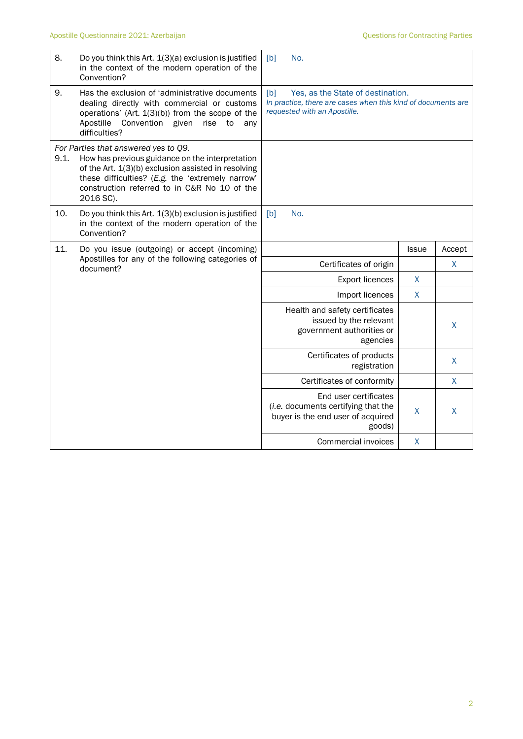| 8.   | Do you think this Art. 1(3)(a) exclusion is justified<br>in the context of the modern operation of the<br>Convention?                                                                                                                                           | No.<br>[b]                                                                                                                               |              |              |  |
|------|-----------------------------------------------------------------------------------------------------------------------------------------------------------------------------------------------------------------------------------------------------------------|------------------------------------------------------------------------------------------------------------------------------------------|--------------|--------------|--|
| 9.   | Has the exclusion of 'administrative documents<br>dealing directly with commercial or customs<br>operations' (Art. $1(3)(b)$ ) from the scope of the<br>Convention given<br>Apostille<br>rise<br>to<br>anv<br>difficulties?                                     | Yes, as the State of destination.<br>[b]<br>In practice, there are cases when this kind of documents are<br>requested with an Apostille. |              |              |  |
| 9.1. | For Parties that answered yes to Q9.<br>How has previous guidance on the interpretation<br>of the Art. 1(3)(b) exclusion assisted in resolving<br>these difficulties? (E.g. the 'extremely narrow'<br>construction referred to in C&R No 10 of the<br>2016 SC). |                                                                                                                                          |              |              |  |
| 10.  | Do you think this Art. 1(3)(b) exclusion is justified<br>in the context of the modern operation of the<br>Convention?                                                                                                                                           | No.<br>[b]                                                                                                                               |              |              |  |
| 11.  | Do you issue (outgoing) or accept (incoming)                                                                                                                                                                                                                    |                                                                                                                                          | <b>Issue</b> | Accept       |  |
|      | Apostilles for any of the following categories of<br>document?                                                                                                                                                                                                  | Certificates of origin                                                                                                                   |              | X            |  |
|      |                                                                                                                                                                                                                                                                 | <b>Export licences</b>                                                                                                                   | X            |              |  |
|      |                                                                                                                                                                                                                                                                 | Import licences                                                                                                                          | X            |              |  |
|      |                                                                                                                                                                                                                                                                 | Health and safety certificates<br>issued by the relevant<br>government authorities or<br>agencies                                        |              | X            |  |
|      |                                                                                                                                                                                                                                                                 | Certificates of products<br>registration                                                                                                 |              | $\mathsf{X}$ |  |
|      |                                                                                                                                                                                                                                                                 | Certificates of conformity                                                                                                               |              | X            |  |
|      |                                                                                                                                                                                                                                                                 | End user certificates<br>(i.e. documents certifying that the<br>buyer is the end user of acquired<br>goods)                              | X            | X            |  |
|      |                                                                                                                                                                                                                                                                 | Commercial invoices                                                                                                                      | X            |              |  |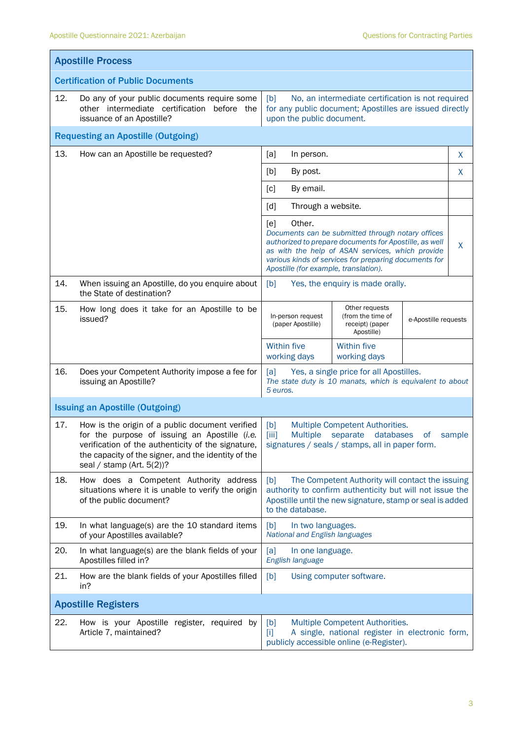| <b>Apostille Process</b>                 |                                                                                                                                                                                                                                                                              |                                                                                                                                                                                                      |                                                                                                                                                                                                                          |                      |   |  |
|------------------------------------------|------------------------------------------------------------------------------------------------------------------------------------------------------------------------------------------------------------------------------------------------------------------------------|------------------------------------------------------------------------------------------------------------------------------------------------------------------------------------------------------|--------------------------------------------------------------------------------------------------------------------------------------------------------------------------------------------------------------------------|----------------------|---|--|
| <b>Certification of Public Documents</b> |                                                                                                                                                                                                                                                                              |                                                                                                                                                                                                      |                                                                                                                                                                                                                          |                      |   |  |
| 12.                                      | Do any of your public documents require some<br>No, an intermediate certification is not required<br>[b]<br>other intermediate certification before the<br>for any public document; Apostilles are issued directly<br>issuance of an Apostille?<br>upon the public document. |                                                                                                                                                                                                      |                                                                                                                                                                                                                          |                      |   |  |
|                                          | <b>Requesting an Apostille (Outgoing)</b>                                                                                                                                                                                                                                    |                                                                                                                                                                                                      |                                                                                                                                                                                                                          |                      |   |  |
| 13.                                      | How can an Apostille be requested?<br>[a]<br>In person.                                                                                                                                                                                                                      |                                                                                                                                                                                                      |                                                                                                                                                                                                                          |                      | X |  |
|                                          |                                                                                                                                                                                                                                                                              | [b]<br>By post.                                                                                                                                                                                      |                                                                                                                                                                                                                          | X                    |   |  |
|                                          |                                                                                                                                                                                                                                                                              | $\lceil c \rceil$<br>By email.                                                                                                                                                                       |                                                                                                                                                                                                                          |                      |   |  |
|                                          |                                                                                                                                                                                                                                                                              | [d]<br>Through a website.                                                                                                                                                                            |                                                                                                                                                                                                                          |                      |   |  |
|                                          |                                                                                                                                                                                                                                                                              | Other.<br>[e]<br>Apostille (for example, translation).                                                                                                                                               | Documents can be submitted through notary offices<br>authorized to prepare documents for Apostille, as well<br>as with the help of ASAN services, which provide<br>various kinds of services for preparing documents for |                      | X |  |
| 14.                                      | When issuing an Apostille, do you enquire about<br>the State of destination?                                                                                                                                                                                                 | [b]<br>Yes, the enquiry is made orally.                                                                                                                                                              |                                                                                                                                                                                                                          |                      |   |  |
| 15.                                      | How long does it take for an Apostille to be<br>issued?                                                                                                                                                                                                                      | Other requests<br>(from the time of<br>In-person request<br>(paper Apostille)<br>receipt) (paper<br>Apostille)                                                                                       |                                                                                                                                                                                                                          | e-Apostille requests |   |  |
|                                          |                                                                                                                                                                                                                                                                              | <b>Within five</b><br>working days                                                                                                                                                                   | <b>Within five</b><br>working days                                                                                                                                                                                       |                      |   |  |
| 16.                                      | Does your Competent Authority impose a fee for<br>issuing an Apostille?                                                                                                                                                                                                      | Yes, a single price for all Apostilles.<br>[a]<br>The state duty is 10 manats, which is equivalent to about<br>5 euros.                                                                              |                                                                                                                                                                                                                          |                      |   |  |
|                                          | <b>Issuing an Apostille (Outgoing)</b>                                                                                                                                                                                                                                       |                                                                                                                                                                                                      |                                                                                                                                                                                                                          |                      |   |  |
| 17.                                      | How is the origin of a public document verified<br>for the purpose of issuing an Apostille (i.e.<br>verification of the authenticity of the signature,<br>the capacity of the signer, and the identity of the<br>seal / stamp (Art. $5(2)$ )?                                | Multiple Competent Authorities.<br>[b]<br><b>Multiple</b><br>$\left[ \text{iii} \right]$<br>separate<br>databases<br>sample<br><sub>of</sub><br>signatures / seals / stamps, all in paper form.      |                                                                                                                                                                                                                          |                      |   |  |
| 18.                                      | How does a Competent Authority address<br>situations where it is unable to verify the origin<br>of the public document?                                                                                                                                                      | The Competent Authority will contact the issuing<br>[b]<br>authority to confirm authenticity but will not issue the<br>Apostille until the new signature, stamp or seal is added<br>to the database. |                                                                                                                                                                                                                          |                      |   |  |
| 19.                                      | In what language(s) are the 10 standard items<br>of your Apostilles available?                                                                                                                                                                                               | [b]<br>In two languages.<br>National and English languages                                                                                                                                           |                                                                                                                                                                                                                          |                      |   |  |
| 20.                                      | In what language(s) are the blank fields of your<br>Apostilles filled in?                                                                                                                                                                                                    | [a]<br>In one language.<br>English language                                                                                                                                                          |                                                                                                                                                                                                                          |                      |   |  |
| 21.                                      | How are the blank fields of your Apostilles filled<br>in?                                                                                                                                                                                                                    | [b]<br>Using computer software.                                                                                                                                                                      |                                                                                                                                                                                                                          |                      |   |  |
| <b>Apostille Registers</b>               |                                                                                                                                                                                                                                                                              |                                                                                                                                                                                                      |                                                                                                                                                                                                                          |                      |   |  |
| 22.                                      | How is your Apostille register, required by<br>Article 7, maintained?                                                                                                                                                                                                        | Multiple Competent Authorities.<br>[b]<br>A single, national register in electronic form,<br>[i]<br>publicly accessible online (e-Register).                                                         |                                                                                                                                                                                                                          |                      |   |  |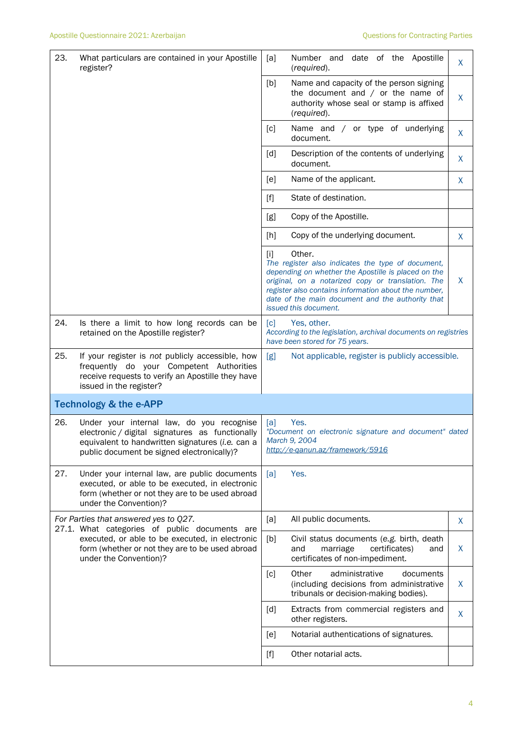| 23. | What particulars are contained in your Apostille<br>register?                                                                                                                                  | Number and date of the Apostille<br>[a]<br>(required).                                                                                                                                                                                                                                                                | X       |  |  |
|-----|------------------------------------------------------------------------------------------------------------------------------------------------------------------------------------------------|-----------------------------------------------------------------------------------------------------------------------------------------------------------------------------------------------------------------------------------------------------------------------------------------------------------------------|---------|--|--|
|     |                                                                                                                                                                                                | [b]<br>Name and capacity of the person signing<br>the document and $/$ or the name of<br>authority whose seal or stamp is affixed<br>(required).                                                                                                                                                                      | $\sf X$ |  |  |
|     |                                                                                                                                                                                                | Name and / or type of underlying<br>[c]<br>document.                                                                                                                                                                                                                                                                  | X       |  |  |
|     |                                                                                                                                                                                                | Description of the contents of underlying<br>[d]<br>document.                                                                                                                                                                                                                                                         | X       |  |  |
|     |                                                                                                                                                                                                | Name of the applicant.<br>[e]                                                                                                                                                                                                                                                                                         | X       |  |  |
|     |                                                                                                                                                                                                | State of destination.<br>$[f]$                                                                                                                                                                                                                                                                                        |         |  |  |
|     |                                                                                                                                                                                                | Copy of the Apostille.<br>[g]                                                                                                                                                                                                                                                                                         |         |  |  |
|     |                                                                                                                                                                                                | Copy of the underlying document.<br>[h]                                                                                                                                                                                                                                                                               | X       |  |  |
|     |                                                                                                                                                                                                | Other.<br>$[1]$<br>The register also indicates the type of document,<br>depending on whether the Apostille is placed on the<br>original, on a notarized copy or translation. The<br>register also contains information about the number,<br>date of the main document and the authority that<br>issued this document. | X       |  |  |
| 24. | Is there a limit to how long records can be<br>retained on the Apostille register?                                                                                                             | Yes, other.<br>$\lceil c \rceil$<br>According to the legislation, archival documents on registries<br>have been stored for 75 years.                                                                                                                                                                                  |         |  |  |
| 25. | If your register is not publicly accessible, how<br>frequently do your Competent Authorities<br>receive requests to verify an Apostille they have<br>issued in the register?                   | [g]<br>Not applicable, register is publicly accessible.                                                                                                                                                                                                                                                               |         |  |  |
|     | <b>Technology &amp; the e-APP</b>                                                                                                                                                              |                                                                                                                                                                                                                                                                                                                       |         |  |  |
| 26. | Under your internal law, do you recognise<br>electronic / digital signatures as functionally<br>equivalent to handwritten signatures (i.e. can a<br>public document be signed electronically)? | Yes.<br>[a]<br>"Document on electronic signature and document" dated<br>March 9, 2004<br>http://e-ganun.az/framework/5916                                                                                                                                                                                             |         |  |  |
| 27. | Under your internal law, are public documents<br>executed, or able to be executed, in electronic<br>form (whether or not they are to be used abroad<br>under the Convention)?                  | Yes.<br>[a]                                                                                                                                                                                                                                                                                                           |         |  |  |
|     | For Parties that answered yes to Q27.<br>27.1. What categories of public documents are                                                                                                         | [a]<br>All public documents.                                                                                                                                                                                                                                                                                          | X       |  |  |
|     | executed, or able to be executed, in electronic<br>form (whether or not they are to be used abroad<br>under the Convention)?                                                                   | [b]<br>Civil status documents (e.g. birth, death<br>and<br>marriage<br>certificates)<br>and<br>certificates of non-impediment.                                                                                                                                                                                        | X       |  |  |
|     |                                                                                                                                                                                                | Other<br>administrative<br>documents<br>[c]<br>(including decisions from administrative<br>tribunals or decision-making bodies).                                                                                                                                                                                      | X       |  |  |
|     |                                                                                                                                                                                                | [d]<br>Extracts from commercial registers and<br>other registers.                                                                                                                                                                                                                                                     | X       |  |  |
|     |                                                                                                                                                                                                | Notarial authentications of signatures.<br>[e]                                                                                                                                                                                                                                                                        |         |  |  |
|     |                                                                                                                                                                                                | Other notarial acts.<br>$[f]$                                                                                                                                                                                                                                                                                         |         |  |  |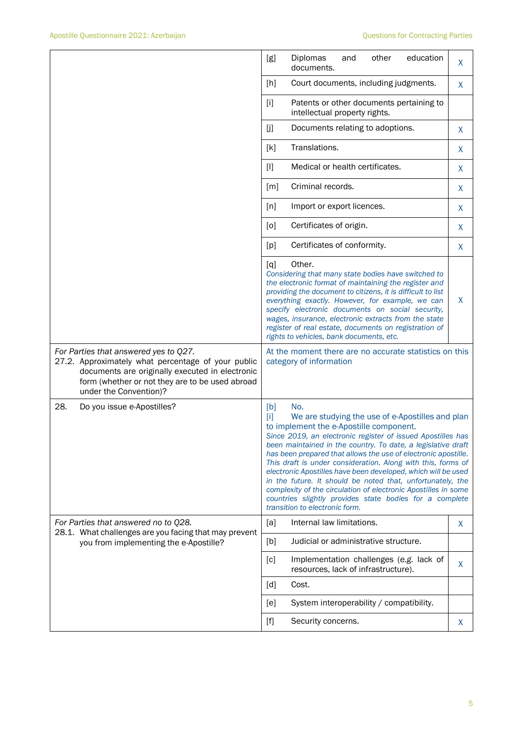|                                                                                                                                                                                                                             | Diplomas<br>other<br>education<br>[g]<br>and<br>documents.                                                                                                                                                                                                                                                                                                                                                                                                                                                                                                                                                                                                                      | X       |  |  |
|-----------------------------------------------------------------------------------------------------------------------------------------------------------------------------------------------------------------------------|---------------------------------------------------------------------------------------------------------------------------------------------------------------------------------------------------------------------------------------------------------------------------------------------------------------------------------------------------------------------------------------------------------------------------------------------------------------------------------------------------------------------------------------------------------------------------------------------------------------------------------------------------------------------------------|---------|--|--|
|                                                                                                                                                                                                                             | [h]<br>Court documents, including judgments.                                                                                                                                                                                                                                                                                                                                                                                                                                                                                                                                                                                                                                    | X       |  |  |
|                                                                                                                                                                                                                             | $[1]$<br>Patents or other documents pertaining to<br>intellectual property rights.                                                                                                                                                                                                                                                                                                                                                                                                                                                                                                                                                                                              |         |  |  |
|                                                                                                                                                                                                                             | $[]$<br>Documents relating to adoptions.                                                                                                                                                                                                                                                                                                                                                                                                                                                                                                                                                                                                                                        | X       |  |  |
|                                                                                                                                                                                                                             | Translations.<br>[k]                                                                                                                                                                                                                                                                                                                                                                                                                                                                                                                                                                                                                                                            | X       |  |  |
|                                                                                                                                                                                                                             | $[1]$<br>Medical or health certificates.                                                                                                                                                                                                                                                                                                                                                                                                                                                                                                                                                                                                                                        | X       |  |  |
|                                                                                                                                                                                                                             | Criminal records.<br>[m]                                                                                                                                                                                                                                                                                                                                                                                                                                                                                                                                                                                                                                                        | X       |  |  |
|                                                                                                                                                                                                                             | [n]<br>Import or export licences.                                                                                                                                                                                                                                                                                                                                                                                                                                                                                                                                                                                                                                               | X       |  |  |
|                                                                                                                                                                                                                             | Certificates of origin.<br>[0]                                                                                                                                                                                                                                                                                                                                                                                                                                                                                                                                                                                                                                                  | X       |  |  |
|                                                                                                                                                                                                                             | Certificates of conformity.<br>[p]                                                                                                                                                                                                                                                                                                                                                                                                                                                                                                                                                                                                                                              | $\sf X$ |  |  |
|                                                                                                                                                                                                                             | Other.<br>[q]<br>Considering that many state bodies have switched to<br>the electronic format of maintaining the register and<br>providing the document to citizens, it is difficult to list<br>everything exactly. However, for example, we can<br>specify electronic documents on social security,<br>wages, insurance, electronic extracts from the state<br>register of real estate, documents on registration of<br>rights to vehicles, bank documents, etc.                                                                                                                                                                                                               | X       |  |  |
| For Parties that answered yes to Q27.<br>27.2. Approximately what percentage of your public<br>documents are originally executed in electronic<br>form (whether or not they are to be used abroad<br>under the Convention)? | At the moment there are no accurate statistics on this<br>category of information                                                                                                                                                                                                                                                                                                                                                                                                                                                                                                                                                                                               |         |  |  |
| 28.<br>Do you issue e-Apostilles?                                                                                                                                                                                           | No.<br>[b]<br>ТïТ<br>We are studying the use of e-Apostilles and plan<br>to implement the e-Apostille component.<br>Since 2019, an electronic register of issued Apostilles has<br>been maintained in the country. To date, a legislative draft<br>has been prepared that allows the use of electronic apostille.<br>This draft is under consideration. Along with this, forms of<br>electronic Apostilles have been developed, which will be used<br>in the future. It should be noted that, unfortunately, the<br>complexity of the circulation of electronic Apostilles in some<br>countries slightly provides state bodies for a complete<br>transition to electronic form. |         |  |  |
| For Parties that answered no to Q28.                                                                                                                                                                                        | Internal law limitations.<br>[a]                                                                                                                                                                                                                                                                                                                                                                                                                                                                                                                                                                                                                                                | X       |  |  |
| 28.1. What challenges are you facing that may prevent<br>you from implementing the e-Apostille?                                                                                                                             | Judicial or administrative structure.<br>[b]                                                                                                                                                                                                                                                                                                                                                                                                                                                                                                                                                                                                                                    |         |  |  |
|                                                                                                                                                                                                                             | Implementation challenges (e.g. lack of<br>[c]<br>resources, lack of infrastructure).                                                                                                                                                                                                                                                                                                                                                                                                                                                                                                                                                                                           | X       |  |  |
|                                                                                                                                                                                                                             | [d]<br>Cost.                                                                                                                                                                                                                                                                                                                                                                                                                                                                                                                                                                                                                                                                    |         |  |  |
|                                                                                                                                                                                                                             | System interoperability / compatibility.<br>[e]                                                                                                                                                                                                                                                                                                                                                                                                                                                                                                                                                                                                                                 |         |  |  |
|                                                                                                                                                                                                                             | $[f] % \begin{center} % \includegraphics[width=\linewidth]{imagesSupplemental_3.png} % \end{center} % \caption { % Our method can be used for the use of the image. % } % \label{fig:example} %$<br>Security concerns.                                                                                                                                                                                                                                                                                                                                                                                                                                                          | X       |  |  |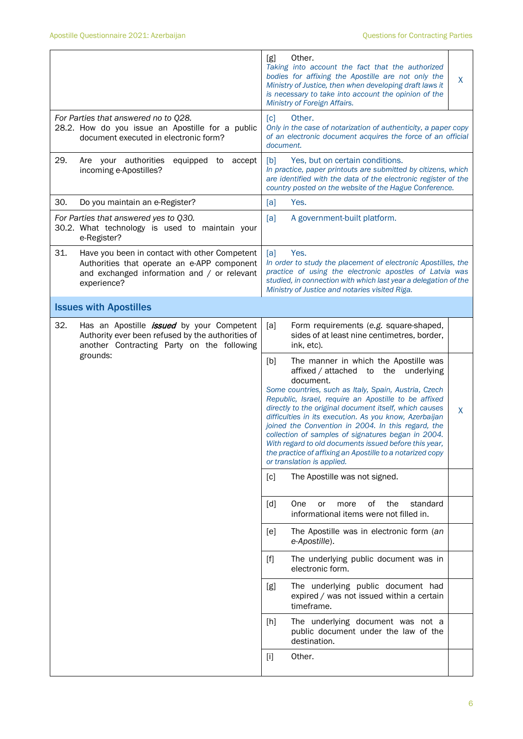|                                                                                                                                                                   | Other.<br>[g]<br>Taking into account the fact that the authorized<br>bodies for affixing the Apostille are not only the<br>X<br>Ministry of Justice, then when developing draft laws it<br>is necessary to take into account the opinion of the<br>Ministry of Foreign Affairs.                                                                                                                                                                                                                                                                                                                            |  |  |  |
|-------------------------------------------------------------------------------------------------------------------------------------------------------------------|------------------------------------------------------------------------------------------------------------------------------------------------------------------------------------------------------------------------------------------------------------------------------------------------------------------------------------------------------------------------------------------------------------------------------------------------------------------------------------------------------------------------------------------------------------------------------------------------------------|--|--|--|
| For Parties that answered no to Q28.<br>28.2. How do you issue an Apostille for a public<br>document executed in electronic form?                                 | [c]<br>Other.<br>Only in the case of notarization of authenticity, a paper copy<br>of an electronic document acquires the force of an official<br>document.                                                                                                                                                                                                                                                                                                                                                                                                                                                |  |  |  |
| 29.<br>Are your authorities<br>equipped to<br>accept<br>incoming e-Apostilles?                                                                                    | [b]<br>Yes, but on certain conditions.<br>In practice, paper printouts are submitted by citizens, which<br>are identified with the data of the electronic register of the<br>country posted on the website of the Hague Conference.                                                                                                                                                                                                                                                                                                                                                                        |  |  |  |
| 30.<br>Do you maintain an e-Register?                                                                                                                             | Yes.<br>[a]                                                                                                                                                                                                                                                                                                                                                                                                                                                                                                                                                                                                |  |  |  |
| For Parties that answered yes to Q30.<br>30.2. What technology is used to maintain your<br>e-Register?                                                            | [a]<br>A government-built platform.                                                                                                                                                                                                                                                                                                                                                                                                                                                                                                                                                                        |  |  |  |
| 31.<br>Have you been in contact with other Competent<br>Authorities that operate an e-APP component<br>and exchanged information and / or relevant<br>experience? | [a]<br>Yes.<br>In order to study the placement of electronic Apostilles, the<br>practice of using the electronic apostles of Latvia was<br>studied, in connection with which last year a delegation of the<br>Ministry of Justice and notaries visited Riga.                                                                                                                                                                                                                                                                                                                                               |  |  |  |
| <b>Issues with Apostilles</b>                                                                                                                                     |                                                                                                                                                                                                                                                                                                                                                                                                                                                                                                                                                                                                            |  |  |  |
| 32.<br>Has an Apostille <i>issued</i> by your Competent<br>Authority ever been refused by the authorities of<br>another Contracting Party on the following        | [a]<br>Form requirements (e.g. square-shaped,<br>sides of at least nine centimetres, border,<br>ink, etc).                                                                                                                                                                                                                                                                                                                                                                                                                                                                                                 |  |  |  |
| grounds:                                                                                                                                                          | The manner in which the Apostille was<br>[b]<br>affixed / attached to the underlying<br>document.<br>Some countries, such as Italy, Spain, Austria, Czech<br>Republic, Israel, require an Apostille to be affixed<br>directly to the original document itself, which causes<br>X<br>difficulties in its execution. As you know, Azerbaijan<br>joined the Convention in 2004. In this regard, the<br>collection of samples of signatures began in 2004.<br>With regard to old documents issued before this year,<br>the practice of affixing an Apostille to a notarized copy<br>or translation is applied. |  |  |  |
|                                                                                                                                                                   | The Apostille was not signed.<br>[c]                                                                                                                                                                                                                                                                                                                                                                                                                                                                                                                                                                       |  |  |  |
|                                                                                                                                                                   | οf<br>the<br>standard<br>[d]<br>One<br>more<br>or<br>informational items were not filled in.                                                                                                                                                                                                                                                                                                                                                                                                                                                                                                               |  |  |  |
|                                                                                                                                                                   | The Apostille was in electronic form (an<br>[e]<br>e-Apostille).                                                                                                                                                                                                                                                                                                                                                                                                                                                                                                                                           |  |  |  |
|                                                                                                                                                                   | The underlying public document was in<br>$[f]$<br>electronic form.                                                                                                                                                                                                                                                                                                                                                                                                                                                                                                                                         |  |  |  |
|                                                                                                                                                                   | The underlying public document had<br>[g]<br>expired / was not issued within a certain<br>timeframe.                                                                                                                                                                                                                                                                                                                                                                                                                                                                                                       |  |  |  |
|                                                                                                                                                                   | The underlying document was not a<br>[h]<br>public document under the law of the<br>destination.                                                                                                                                                                                                                                                                                                                                                                                                                                                                                                           |  |  |  |
|                                                                                                                                                                   | Other.<br>$[1]$                                                                                                                                                                                                                                                                                                                                                                                                                                                                                                                                                                                            |  |  |  |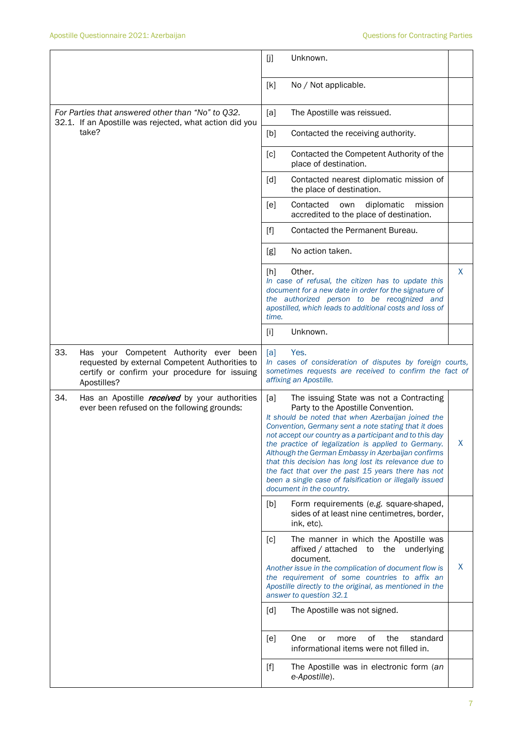|                                                                                                                                                                 | [j]<br>Unknown.                                                                                                                                                                                                                                                                                                                                                                                                                                                                                                                                                                       |  |  |
|-----------------------------------------------------------------------------------------------------------------------------------------------------------------|---------------------------------------------------------------------------------------------------------------------------------------------------------------------------------------------------------------------------------------------------------------------------------------------------------------------------------------------------------------------------------------------------------------------------------------------------------------------------------------------------------------------------------------------------------------------------------------|--|--|
|                                                                                                                                                                 | [k]<br>No / Not applicable.                                                                                                                                                                                                                                                                                                                                                                                                                                                                                                                                                           |  |  |
| For Parties that answered other than "No" to Q32.<br>32.1. If an Apostille was rejected, what action did you                                                    | The Apostille was reissued.<br>[a]                                                                                                                                                                                                                                                                                                                                                                                                                                                                                                                                                    |  |  |
| take?                                                                                                                                                           | [b]<br>Contacted the receiving authority.                                                                                                                                                                                                                                                                                                                                                                                                                                                                                                                                             |  |  |
|                                                                                                                                                                 | Contacted the Competent Authority of the<br>[c]<br>place of destination.                                                                                                                                                                                                                                                                                                                                                                                                                                                                                                              |  |  |
|                                                                                                                                                                 | Contacted nearest diplomatic mission of<br>[d]<br>the place of destination.                                                                                                                                                                                                                                                                                                                                                                                                                                                                                                           |  |  |
|                                                                                                                                                                 | Contacted<br>diplomatic<br>mission<br>[e]<br>own<br>accredited to the place of destination.                                                                                                                                                                                                                                                                                                                                                                                                                                                                                           |  |  |
|                                                                                                                                                                 | Contacted the Permanent Bureau.<br>[f]                                                                                                                                                                                                                                                                                                                                                                                                                                                                                                                                                |  |  |
|                                                                                                                                                                 | No action taken.<br>[g]                                                                                                                                                                                                                                                                                                                                                                                                                                                                                                                                                               |  |  |
|                                                                                                                                                                 | Other.<br>X.<br>[h]<br>In case of refusal, the citizen has to update this<br>document for a new date in order for the signature of<br>the authorized person to be recognized and<br>apostilled, which leads to additional costs and loss of<br>time.                                                                                                                                                                                                                                                                                                                                  |  |  |
|                                                                                                                                                                 | Unknown.<br>$[1]$                                                                                                                                                                                                                                                                                                                                                                                                                                                                                                                                                                     |  |  |
| 33.<br>Has your Competent Authority ever been<br>requested by external Competent Authorities to<br>certify or confirm your procedure for issuing<br>Apostilles? | [a]<br>Yes.<br>In cases of consideration of disputes by foreign courts,<br>sometimes requests are received to confirm the fact of<br>affixing an Apostille.                                                                                                                                                                                                                                                                                                                                                                                                                           |  |  |
| 34.<br>Has an Apostille <i>received</i> by your authorities<br>ever been refused on the following grounds:                                                      | [a]<br>The issuing State was not a Contracting<br>Party to the Apostille Convention.<br>It should be noted that when Azerbaijan joined the<br>Convention, Germany sent a note stating that it does<br>not accept our country as a participant and to this day<br>Χ<br>the practice of legalization is applied to Germany.<br>Although the German Embassy in Azerbaijan confirms<br>that this decision has long lost its relevance due to<br>the fact that over the past 15 years there has not<br>been a single case of falsification or illegally issued<br>document in the country. |  |  |
|                                                                                                                                                                 | [b]<br>Form requirements (e.g. square-shaped,<br>sides of at least nine centimetres, border,<br>ink, etc).                                                                                                                                                                                                                                                                                                                                                                                                                                                                            |  |  |
|                                                                                                                                                                 | [c]<br>The manner in which the Apostille was<br>affixed / attached<br>the underlying<br>to<br>document.<br>X<br>Another issue in the complication of document flow is<br>the requirement of some countries to affix an<br>Apostille directly to the original, as mentioned in the<br>answer to question 32.1                                                                                                                                                                                                                                                                          |  |  |
|                                                                                                                                                                 | The Apostille was not signed.<br>[d]                                                                                                                                                                                                                                                                                                                                                                                                                                                                                                                                                  |  |  |
|                                                                                                                                                                 | 0f<br>the<br>[e]<br>One<br>standard<br>or<br>more<br>informational items were not filled in.                                                                                                                                                                                                                                                                                                                                                                                                                                                                                          |  |  |
|                                                                                                                                                                 | The Apostille was in electronic form (an<br>$[f]$<br>e-Apostille).                                                                                                                                                                                                                                                                                                                                                                                                                                                                                                                    |  |  |